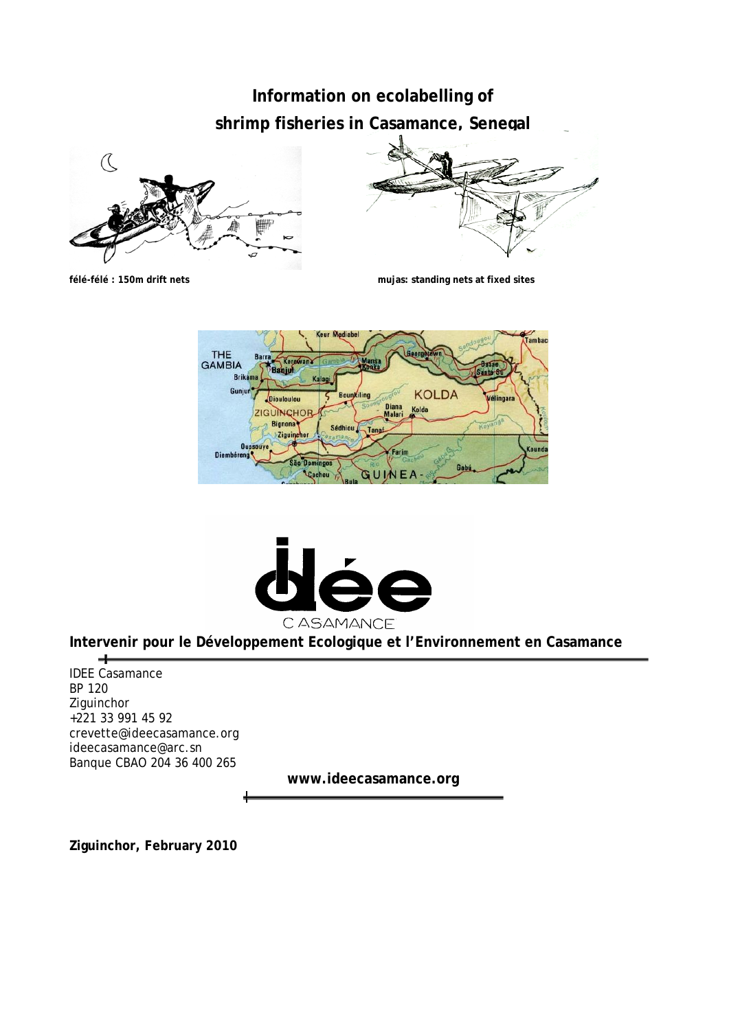# **Information on ecolabelling of shrimp fisheries in Casamance, Senegal**







**félé-félé : 150m drift nets mujas: standing nets at fixed sites** 





**Intervenir pour le Développement Ecologique et l'Environnement en Casamance** 

 $\overline{\phantom{a}}$ IDEE Casamance BP 120 **Ziguinchor** +221 33 991 45 92 crevette@ideecasamance.org ideecasamance@arc.sn Banque CBAO 204 36 400 265

**www.ideecasamance.org** 

**Ziguinchor, February 2010**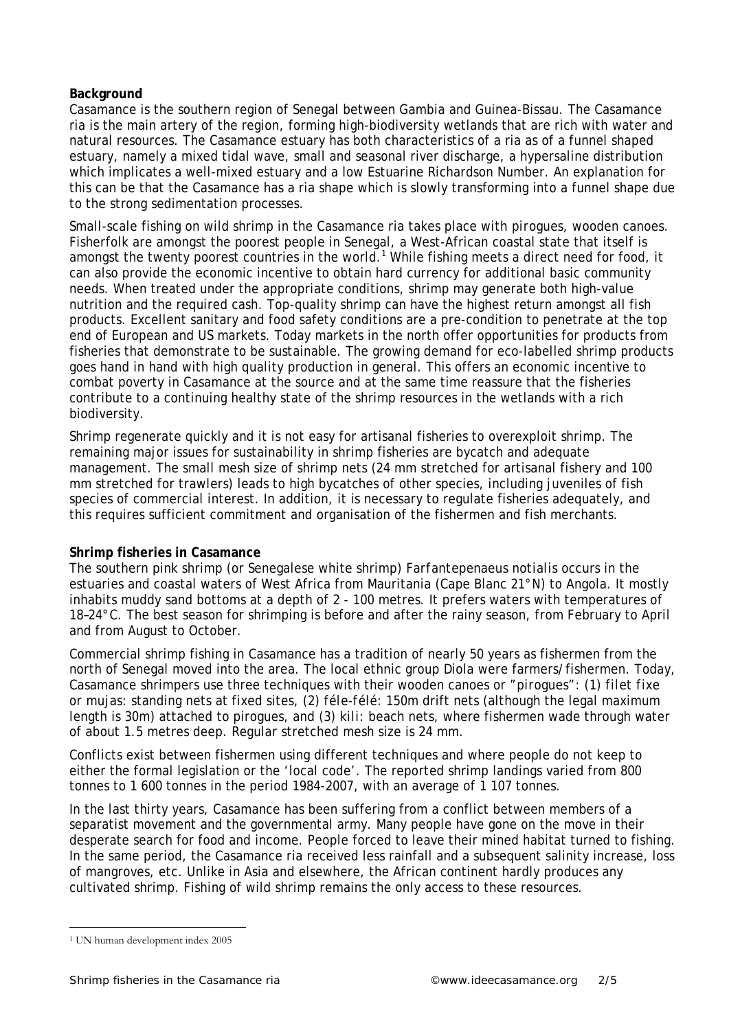### **Background**

Casamance is the southern region of Senegal between Gambia and Guinea-Bissau. The Casamance ria is the main artery of the region, forming high-biodiversity wetlands that are rich with water and natural resources. The Casamance estuary has both characteristics of a ria as of a funnel shaped estuary, namely a mixed tidal wave, small and seasonal river discharge, a hypersaline distribution which implicates a well-mixed estuary and a low Estuarine Richardson Number. An explanation for this can be that the Casamance has a ria shape which is slowly transforming into a funnel shape due to the strong sedimentation processes.

Small-scale fishing on wild shrimp in the Casamance ria takes place with *pirogues*, wooden canoes. Fisherfolk are amongst the poorest people in Senegal, a West-African coastal state that itself is amongst the twenty poorest countries in the world.<sup>1</sup> While fishing meets a direct need for food, it can also provide the economic incentive to obtain hard currency for additional basic community needs. When treated under the appropriate conditions, shrimp may generate both high-value nutrition and the required cash. Top-quality shrimp can have the highest return amongst all fish products. Excellent sanitary and food safety conditions are a pre-condition to penetrate at the top end of European and US markets. Today markets in the north offer opportunities for products from fisheries that demonstrate to be sustainable. The growing demand for eco-labelled shrimp products goes hand in hand with high quality production in general. This offers an economic incentive to combat poverty in Casamance at the source and at the same time reassure that the fisheries contribute to a continuing healthy state of the shrimp resources in the wetlands with a rich biodiversity.

Shrimp regenerate quickly and it is not easy for artisanal fisheries to overexploit shrimp. The remaining major issues for sustainability in shrimp fisheries are bycatch and adequate management. The small mesh size of shrimp nets (24 mm stretched for artisanal fishery and 100 mm stretched for trawlers) leads to high bycatches of other species, including juveniles of fish species of commercial interest. In addition, it is necessary to regulate fisheries adequately, and this requires sufficient commitment and organisation of the fishermen and fish merchants.

### **Shrimp fisheries in Casamance**

The southern pink shrimp (or Senegalese white shrimp) *Farfantepenaeus notialis* occurs in the estuaries and coastal waters of West Africa from Mauritania (Cape Blanc 21°N) to Angola. It mostly inhabits muddy sand bottoms at a depth of 2 - 100 metres. It prefers waters with temperatures of 18–24°C. The best season for shrimping is before and after the rainy season, from February to April and from August to October.

Commercial shrimp fishing in Casamance has a tradition of nearly 50 years as fishermen from the north of Senegal moved into the area. The local ethnic group Diola were farmers/fishermen. Today, Casamance shrimpers use three techniques with their wooden canoes or "*pirogues"*: (1) *filet fixe or mujas:* standing nets at fixed sites, (2) *féle-félé*: 150m drift nets (although the legal maximum length is 30m) attached to pirogues, and (3) *kili*: beach nets, where fishermen wade through water of about 1.5 metres deep. Regular stretched mesh size is 24 mm.

Conflicts exist between fishermen using different techniques and where people do not keep to either the formal legislation or the 'local code'. The reported shrimp landings varied from 800 tonnes to 1 600 tonnes in the period 1984-2007, with an average of 1 107 tonnes.

In the last thirty years, Casamance has been suffering from a conflict between members of a separatist movement and the governmental army. Many people have gone on the move in their desperate search for food and income. People forced to leave their mined habitat turned to fishing. In the same period, the Casamance ria received less rainfall and a subsequent salinity increase, loss of mangroves, etc. Unlike in Asia and elsewhere, the African continent hardly produces any cultivated shrimp. Fishing of wild shrimp remains the only access to these resources.

 $\ddot{ }$ 1 UN human development index 2005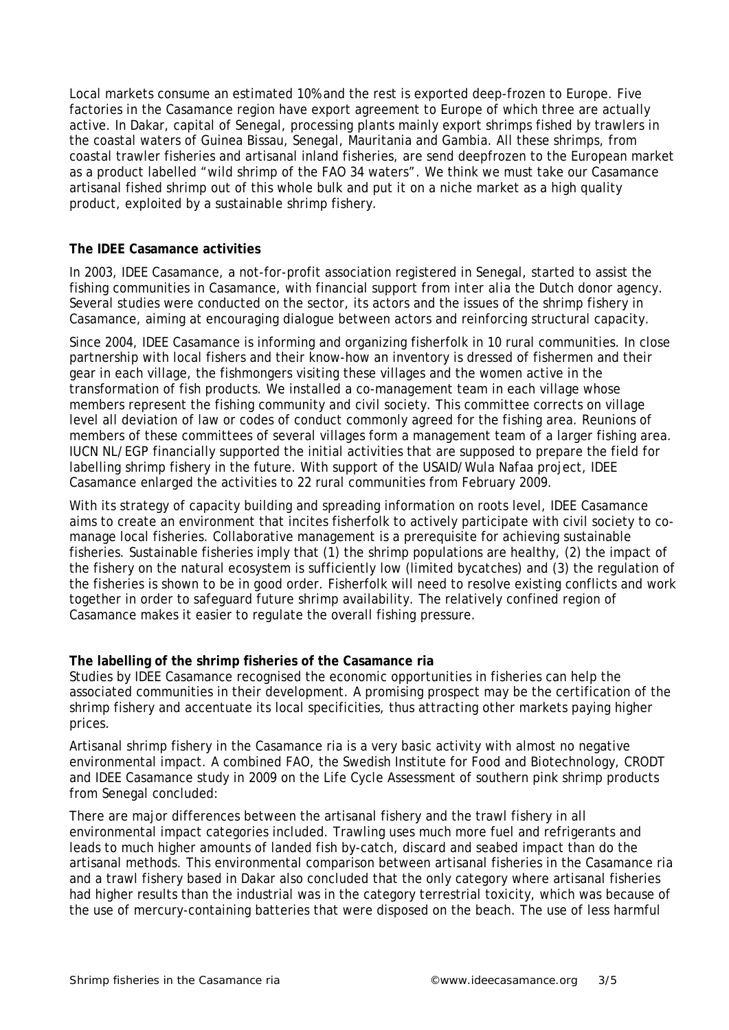Local markets consume an estimated 10% and the rest is exported deep-frozen to Europe. Five factories in the Casamance region have export agreement to Europe of which three are actually active. In Dakar, capital of Senegal, processing plants mainly export shrimps fished by trawlers in the coastal waters of Guinea Bissau, Senegal, Mauritania and Gambia. All these shrimps, from coastal trawler fisheries and artisanal inland fisheries, are send deepfrozen to the European market as a product labelled "wild shrimp of the FAO 34 waters". We think we must take our Casamance artisanal fished shrimp out of this whole bulk and put it on a niche market as a high quality product, exploited by a sustainable shrimp fishery.

## **The IDEE Casamance activities**

In 2003, IDEE Casamance, a not-for-profit association registered in Senegal, started to assist the fishing communities in Casamance, with financial support from *inter alia* the Dutch donor agency. Several studies were conducted on the sector, its actors and the issues of the shrimp fishery in Casamance, aiming at encouraging dialogue between actors and reinforcing structural capacity.

Since 2004, IDEE Casamance is informing and organizing fisherfolk in 10 rural communities. In close partnership with local fishers and their know-how an inventory is dressed of fishermen and their gear in each village, the fishmongers visiting these villages and the women active in the transformation of fish products. We installed a co-management team in each village whose members represent the fishing community and civil society. This committee corrects on village level all deviation of law or codes of conduct commonly agreed for the fishing area. Reunions of members of these committees of several villages form a management team of a larger fishing area. IUCN NL/EGP financially supported the initial activities that are supposed to prepare the field for labelling shrimp fishery in the future. With support of the USAID/Wula Nafaa project, IDEE Casamance enlarged the activities to 22 rural communities from February 2009.

With its strategy of capacity building and spreading information on roots level, IDEE Casamance aims to create an environment that incites fisherfolk to actively participate with civil society to comanage local fisheries. Collaborative management is a prerequisite for achieving sustainable fisheries. Sustainable fisheries imply that (1) the shrimp populations are healthy, (2) the impact of the fishery on the natural ecosystem is sufficiently low (limited bycatches) and (3) the regulation of the fisheries is shown to be in good order. Fisherfolk will need to resolve existing conflicts and work together in order to safeguard future shrimp availability. The relatively confined region of Casamance makes it easier to regulate the overall fishing pressure.

### **The labelling of the shrimp fisheries of the Casamance ria**

Studies by IDEE Casamance recognised the economic opportunities in fisheries can help the associated communities in their development. A promising prospect may be the certification of the shrimp fishery and accentuate its local specificities, thus attracting other markets paying higher prices.

Artisanal shrimp fishery in the Casamance ria is a very basic activity with almost no negative environmental impact. A combined FAO, the Swedish Institute for Food and Biotechnology, CRODT and IDEE Casamance study in 2009 on the Life Cycle Assessment of southern pink shrimp products from Senegal concluded:

There are major differences between the artisanal fishery and the trawl fishery in all environmental impact categories included. Trawling uses much more fuel and refrigerants and leads to much higher amounts of landed fish by-catch, discard and seabed impact than do the artisanal methods. This environmental comparison between artisanal fisheries in the Casamance ria and a trawl fishery based in Dakar also concluded that the only category where artisanal fisheries had higher results than the industrial was in the category terrestrial toxicity, which was because of the use of mercury-containing batteries that were disposed on the beach. The use of less harmful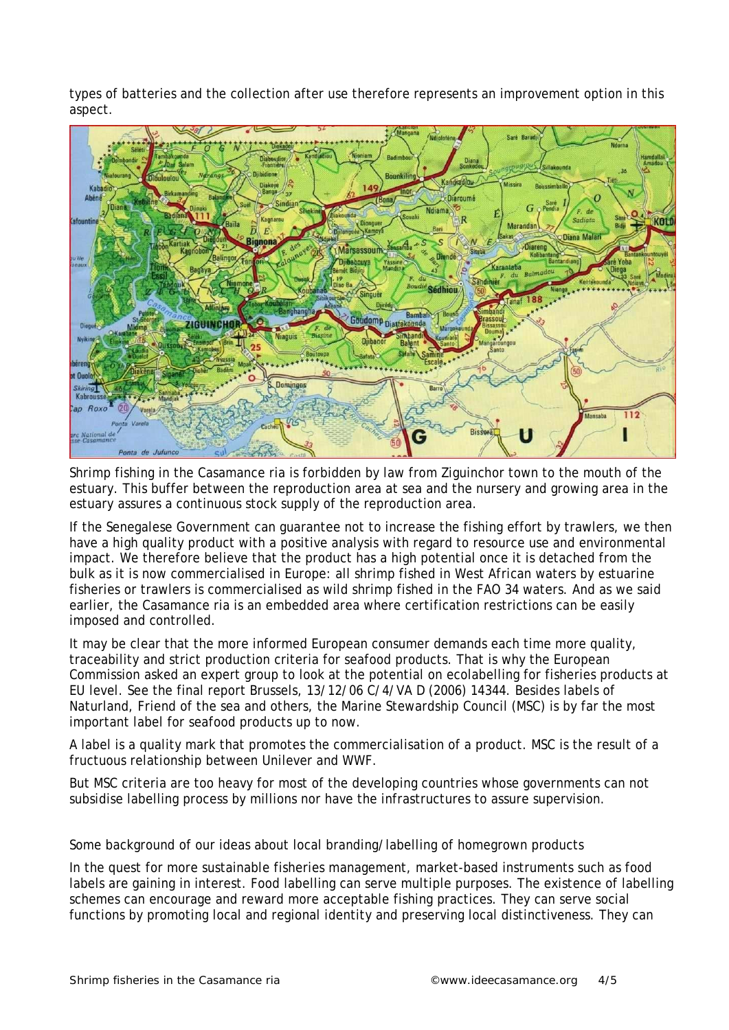types of batteries and the collection after use therefore represents an improvement option in this aspect.



Shrimp fishing in the Casamance ria is forbidden by law from Ziguinchor town to the mouth of the estuary. This buffer between the reproduction area at sea and the nursery and growing area in the estuary assures a continuous stock supply of the reproduction area.

If the Senegalese Government can guarantee not to increase the fishing effort by trawlers, we then have a high quality product with a positive analysis with regard to resource use and environmental impact. We therefore believe that the product has a high potential once it is detached from the bulk as it is now commercialised in Europe: all shrimp fished in West African waters by estuarine fisheries or trawlers is commercialised as wild shrimp fished in the FAO 34 waters. And as we said earlier, the Casamance ria is an embedded area where certification restrictions can be easily imposed and controlled.

It may be clear that the more informed European consumer demands each time more quality, traceability and strict production criteria for seafood products. That is why the European Commission asked an expert group to look at the potential on ecolabelling for fisheries products at EU level. See the final report Brussels, 13/12/06 C/4/VA D (2006) 14344. Besides labels of Naturland, Friend of the sea and others, the Marine Stewardship Council (MSC) is by far the most important label for seafood products up to now.

A label is a quality mark that promotes the commercialisation of a product. MSC is the result of a fructuous relationship between Unilever and WWF.

But MSC criteria are too heavy for most of the developing countries whose governments can not subsidise labelling process by millions nor have the infrastructures to assure supervision.

Some background of our ideas about local branding/labelling of homegrown products

In the quest for more sustainable fisheries management, market-based instruments such as food labels are gaining in interest. Food labelling can serve multiple purposes. The existence of labelling schemes can encourage and reward more acceptable fishing practices. They can serve social functions by promoting local and regional identity and preserving local distinctiveness. They can